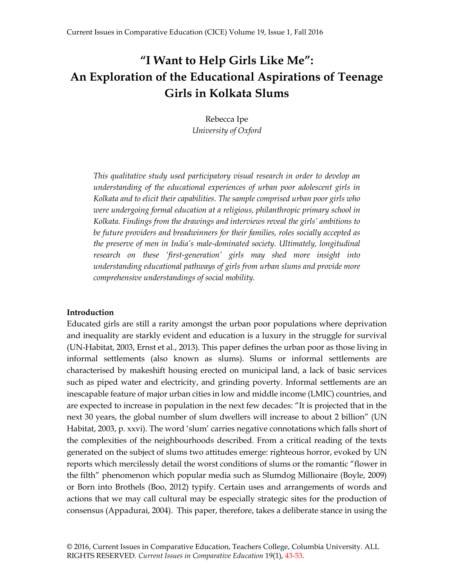# **"I Want to Help Girls Like Me": An Exploration of the Educational Aspirations of Teenage Girls in Kolkata Slums**

Rebecca Ipe *University of Oxford*

*This qualitative study used participatory visual research in order to develop an understanding of the educational experiences of urban poor adolescent girls in Kolkata and to elicit their capabilities. The sample comprised urban poor girls who were undergoing formal education at a religious, philanthropic primary school in Kolkata. Findings from the drawings and interviews reveal the girls' ambitions to be future providers and breadwinners for their families, roles socially accepted as the preserve of men in India's male-dominated society. Ultimately, longitudinal research on these 'first-generation' girls may shed more insight into understanding educational pathways of girls from urban slums and provide more comprehensive understandings of social mobility.*

#### **Introduction**

Educated girls are still a rarity amongst the urban poor populations where deprivation and inequality are starkly evident and education is a luxury in the struggle for survival (UN-Habitat, 2003, Ernst et al., 2013). This paper defines the urban poor as those living in informal settlements (also known as slums). Slums or informal settlements are characterised by makeshift housing erected on municipal land, a lack of basic services such as piped water and electricity, and grinding poverty. Informal settlements are an inescapable feature of major urban cities in low and middle income (LMIC) countries, and are expected to increase in population in the next few decades: "It is projected that in the next 30 years, the global number of slum dwellers will increase to about 2 billion" (UN Habitat, 2003, p. xxvi). The word 'slum' carries negative connotations which falls short of the complexities of the neighbourhoods described. From a critical reading of the texts generated on the subject of slums two attitudes emerge: righteous horror, evoked by UN reports which mercilessly detail the worst conditions of slums or the romantic "flower in the filth" phenomenon which popular media such as Slumdog Millionaire (Boyle, 2009) or Born into Brothels (Boo, 2012) typify. Certain uses and arrangements of words and actions that we may call cultural may be especially strategic sites for the production of consensus (Appadurai, 2004). This paper, therefore, takes a deliberate stance in using the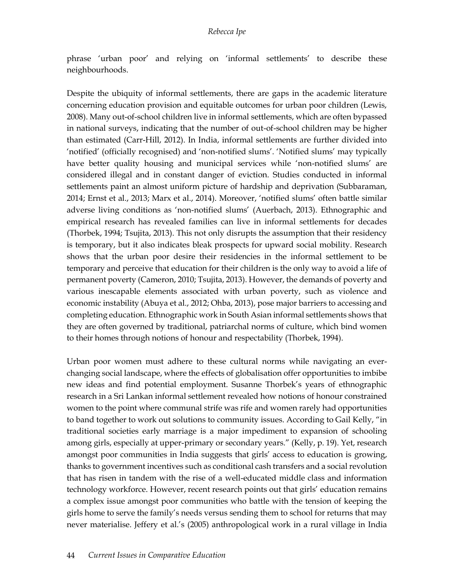phrase 'urban poor' and relying on 'informal settlements' to describe these neighbourhoods.

Despite the ubiquity of informal settlements, there are gaps in the academic literature concerning education provision and equitable outcomes for urban poor children (Lewis, 2008). Many out-of-school children live in informal settlements, which are often bypassed in national surveys, indicating that the number of out-of-school children may be higher than estimated (Carr-Hill, 2012). In India, informal settlements are further divided into 'notified' (officially recognised) and 'non-notified slums'. 'Notified slums' may typically have better quality housing and municipal services while 'non-notified slums' are considered illegal and in constant danger of eviction. Studies conducted in informal settlements paint an almost uniform picture of hardship and deprivation (Subbaraman, 2014; Ernst et al., 2013; Marx et al., 2014). Moreover, 'notified slums' often battle similar adverse living conditions as 'non-notified slums' (Auerbach, 2013). Ethnographic and empirical research has revealed families can live in informal settlements for decades (Thorbek, 1994; Tsujita, 2013). This not only disrupts the assumption that their residency is temporary, but it also indicates bleak prospects for upward social mobility. Research shows that the urban poor desire their residencies in the informal settlement to be temporary and perceive that education for their children is the only way to avoid a life of permanent poverty (Cameron, 2010; Tsujita, 2013). However, the demands of poverty and various inescapable elements associated with urban poverty, such as violence and economic instability (Abuya et al., 2012; Ohba, 2013), pose major barriers to accessing and completing education. Ethnographic work in South Asian informal settlements shows that they are often governed by traditional, patriarchal norms of culture, which bind women to their homes through notions of honour and respectability (Thorbek, 1994).

Urban poor women must adhere to these cultural norms while navigating an everchanging social landscape, where the effects of globalisation offer opportunities to imbibe new ideas and find potential employment. Susanne Thorbek's years of ethnographic research in a Sri Lankan informal settlement revealed how notions of honour constrained women to the point where communal strife was rife and women rarely had opportunities to band together to work out solutions to community issues. According to Gail Kelly, "in traditional societies early marriage is a major impediment to expansion of schooling among girls, especially at upper-primary or secondary years." (Kelly, p. 19). Yet, research amongst poor communities in India suggests that girls' access to education is growing, thanks to government incentives such as conditional cash transfers and a social revolution that has risen in tandem with the rise of a well-educated middle class and information technology workforce. However, recent research points out that girls' education remains a complex issue amongst poor communities who battle with the tension of keeping the girls home to serve the family's needs versus sending them to school for returns that may never materialise. Jeffery et al.'s (2005) anthropological work in a rural village in India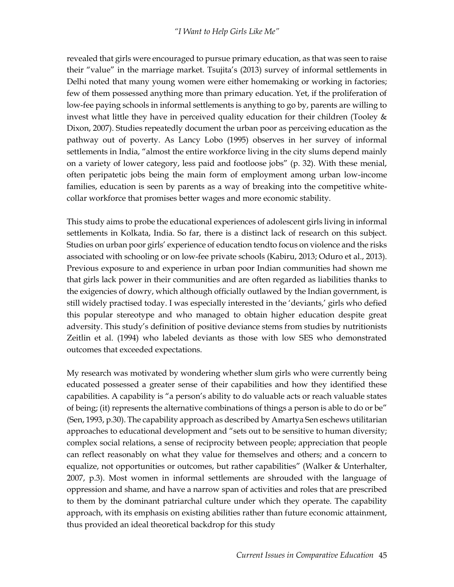revealed that girls were encouraged to pursue primary education, as that was seen to raise their "value" in the marriage market. Tsujita's (2013) survey of informal settlements in Delhi noted that many young women were either homemaking or working in factories; few of them possessed anything more than primary education. Yet, if the proliferation of low-fee paying schools in informal settlements is anything to go by, parents are willing to invest what little they have in perceived quality education for their children (Tooley  $\&$ Dixon, 2007). Studies repeatedly document the urban poor as perceiving education as the pathway out of poverty. As Lancy Lobo (1995) observes in her survey of informal settlements in India, "almost the entire workforce living in the city slums depend mainly on a variety of lower category, less paid and footloose jobs" (p. 32). With these menial, often peripatetic jobs being the main form of employment among urban low-income families, education is seen by parents as a way of breaking into the competitive whitecollar workforce that promises better wages and more economic stability.

This study aims to probe the educational experiences of adolescent girls living in informal settlements in Kolkata, India. So far, there is a distinct lack of research on this subject. Studies on urban poor girls' experience of education tendto focus on violence and the risks associated with schooling or on low-fee private schools (Kabiru, 2013; Oduro et al., 2013). Previous exposure to and experience in urban poor Indian communities had shown me that girls lack power in their communities and are often regarded as liabilities thanks to the exigencies of dowry, which although officially outlawed by the Indian government, is still widely practised today. I was especially interested in the 'deviants,' girls who defied this popular stereotype and who managed to obtain higher education despite great adversity. This study's definition of positive deviance stems from studies by nutritionists Zeitlin et al. (1994) who labeled deviants as those with low SES who demonstrated outcomes that exceeded expectations.

My research was motivated by wondering whether slum girls who were currently being educated possessed a greater sense of their capabilities and how they identified these capabilities. A capability is "a person's ability to do valuable acts or reach valuable states of being; (it) represents the alternative combinations of things a person is able to do or be" (Sen, 1993, p.30). The capability approach as described by Amartya Sen eschews utilitarian approaches to educational development and "sets out to be sensitive to human diversity; complex social relations, a sense of reciprocity between people; appreciation that people can reflect reasonably on what they value for themselves and others; and a concern to equalize, not opportunities or outcomes, but rather capabilities" (Walker & Unterhalter, 2007, p.3). Most women in informal settlements are shrouded with the language of oppression and shame, and have a narrow span of activities and roles that are prescribed to them by the dominant patriarchal culture under which they operate. The capability approach, with its emphasis on existing abilities rather than future economic attainment, thus provided an ideal theoretical backdrop for this study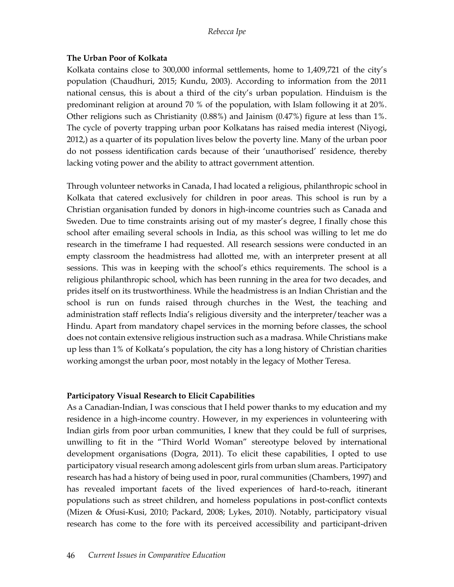### **The Urban Poor of Kolkata**

Kolkata contains close to 300,000 informal settlements, home to 1,409,721 of the city's population (Chaudhuri, 2015; Kundu, 2003). According to information from the 2011 national census, this is about a third of the city's urban population. Hinduism is the predominant religion at around 70 % of the population, with Islam following it at 20%. Other religions such as Christianity (0.88%) and Jainism (0.47%) figure at less than 1%. The cycle of poverty trapping urban poor Kolkatans has raised media interest (Niyogi, 2012,) as a quarter of its population lives below the poverty line. Many of the urban poor do not possess identification cards because of their 'unauthorised' residence, thereby lacking voting power and the ability to attract government attention.

Through volunteer networks in Canada, I had located a religious, philanthropic school in Kolkata that catered exclusively for children in poor areas. This school is run by a Christian organisation funded by donors in high-income countries such as Canada and Sweden. Due to time constraints arising out of my master's degree, I finally chose this school after emailing several schools in India, as this school was willing to let me do research in the timeframe I had requested. All research sessions were conducted in an empty classroom the headmistress had allotted me, with an interpreter present at all sessions. This was in keeping with the school's ethics requirements. The school is a religious philanthropic school, which has been running in the area for two decades, and prides itself on its trustworthiness. While the headmistress is an Indian Christian and the school is run on funds raised through churches in the West, the teaching and administration staff reflects India's religious diversity and the interpreter/teacher was a Hindu. Apart from mandatory chapel services in the morning before classes, the school does not contain extensive religious instruction such as a madrasa. While Christians make up less than 1% of Kolkata's population, the city has a long history of Christian charities working amongst the urban poor, most notably in the legacy of Mother Teresa.

## **Participatory Visual Research to Elicit Capabilities**

As a Canadian-Indian, I was conscious that I held power thanks to my education and my residence in a high-income country. However, in my experiences in volunteering with Indian girls from poor urban communities, I knew that they could be full of surprises, unwilling to fit in the "Third World Woman" stereotype beloved by international development organisations (Dogra, 2011). To elicit these capabilities, I opted to use participatory visual research among adolescent girls from urban slum areas. Participatory research has had a history of being used in poor, rural communities (Chambers, 1997) and has revealed important facets of the lived experiences of hard-to-reach, itinerant populations such as street children, and homeless populations in post-conflict contexts (Mizen & Ofusi-Kusi, 2010; Packard, 2008; Lykes, 2010). Notably, participatory visual research has come to the fore with its perceived accessibility and participant-driven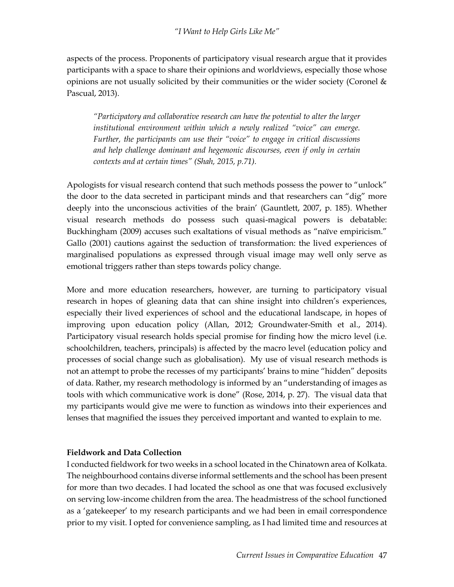aspects of the process. Proponents of participatory visual research argue that it provides participants with a space to share their opinions and worldviews, especially those whose opinions are not usually solicited by their communities or the wider society (Coronel & Pascual, 2013).

*"Participatory and collaborative research can have the potential to alter the larger institutional environment within which a newly realized "voice" can emerge. Further, the participants can use their "voice" to engage in critical discussions and help challenge dominant and hegemonic discourses, even if only in certain contexts and at certain times" (Shah, 2015, p.71).* 

Apologists for visual research contend that such methods possess the power to "unlock" the door to the data secreted in participant minds and that researchers can "dig" more deeply into the unconscious activities of the brain' (Gauntlett, 2007, p. 185). Whether visual research methods do possess such quasi-magical powers is debatable: Buckhingham (2009) accuses such exaltations of visual methods as "naïve empiricism." Gallo (2001) cautions against the seduction of transformation: the lived experiences of marginalised populations as expressed through visual image may well only serve as emotional triggers rather than steps towards policy change.

More and more education researchers, however, are turning to participatory visual research in hopes of gleaning data that can shine insight into children's experiences, especially their lived experiences of school and the educational landscape, in hopes of improving upon education policy (Allan, 2012; Groundwater-Smith et al., 2014). Participatory visual research holds special promise for finding how the micro level (i.e. schoolchildren, teachers, principals) is affected by the macro level (education policy and processes of social change such as globalisation). My use of visual research methods is not an attempt to probe the recesses of my participants' brains to mine "hidden" deposits of data. Rather, my research methodology is informed by an "understanding of images as tools with which communicative work is done" (Rose, 2014, p. 27). The visual data that my participants would give me were to function as windows into their experiences and lenses that magnified the issues they perceived important and wanted to explain to me.

## **Fieldwork and Data Collection**

I conducted fieldwork for two weeks in a school located in the Chinatown area of Kolkata. The neighbourhood contains diverse informal settlements and the school has been present for more than two decades. I had located the school as one that was focused exclusively on serving low-income children from the area. The headmistress of the school functioned as a 'gatekeeper' to my research participants and we had been in email correspondence prior to my visit. I opted for convenience sampling, as I had limited time and resources at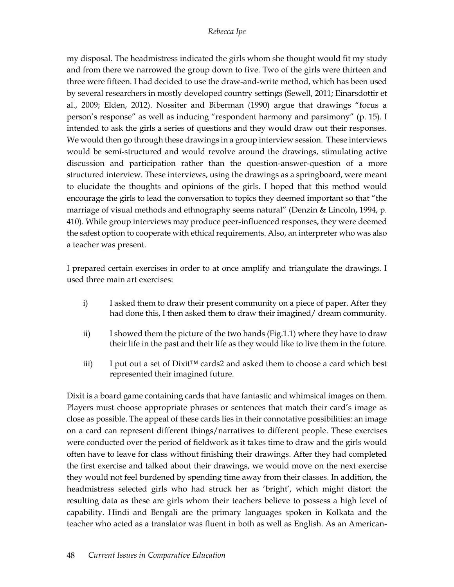my disposal. The headmistress indicated the girls whom she thought would fit my study and from there we narrowed the group down to five. Two of the girls were thirteen and three were fifteen. I had decided to use the draw-and-write method, which has been used by several researchers in mostly developed country settings (Sewell, 2011; Einarsdottir et al., 2009; Elden, 2012). Nossiter and Biberman (1990) argue that drawings "focus a person's response" as well as inducing "respondent harmony and parsimony" (p. 15). I intended to ask the girls a series of questions and they would draw out their responses. We would then go through these drawings in a group interview session. These interviews would be semi-structured and would revolve around the drawings, stimulating active discussion and participation rather than the question-answer-question of a more structured interview. These interviews, using the drawings as a springboard, were meant to elucidate the thoughts and opinions of the girls. I hoped that this method would encourage the girls to lead the conversation to topics they deemed important so that "the marriage of visual methods and ethnography seems natural" (Denzin & Lincoln, 1994, p. 410). While group interviews may produce peer-influenced responses, they were deemed the safest option to cooperate with ethical requirements. Also, an interpreter who was also a teacher was present.

I prepared certain exercises in order to at once amplify and triangulate the drawings. I used three main art exercises:

- i) I asked them to draw their present community on a piece of paper. After they had done this, I then asked them to draw their imagined/ dream community.
- ii) I showed them the picture of the two hands (Fig.1.1) where they have to draw their life in the past and their life as they would like to live them in the future.
- iii) I put out a set of Dixit<sup>™</sup> cards2 and asked them to choose a card which best represented their imagined future.

Dixit is a board game containing cards that have fantastic and whimsical images on them. Players must choose appropriate phrases or sentences that match their card's image as close as possible. The appeal of these cards lies in their connotative possibilities: an image on a card can represent different things/narratives to different people. These exercises were conducted over the period of fieldwork as it takes time to draw and the girls would often have to leave for class without finishing their drawings. After they had completed the first exercise and talked about their drawings, we would move on the next exercise they would not feel burdened by spending time away from their classes. In addition, the headmistress selected girls who had struck her as 'bright', which might distort the resulting data as these are girls whom their teachers believe to possess a high level of capability. Hindi and Bengali are the primary languages spoken in Kolkata and the teacher who acted as a translator was fluent in both as well as English. As an American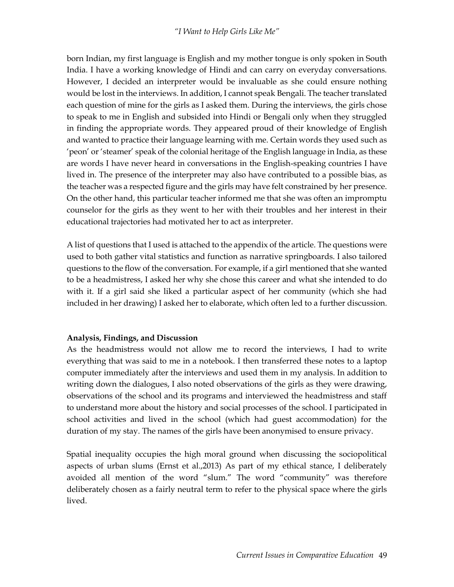born Indian, my first language is English and my mother tongue is only spoken in South India. I have a working knowledge of Hindi and can carry on everyday conversations. However, I decided an interpreter would be invaluable as she could ensure nothing would be lost in the interviews. In addition, I cannot speak Bengali. The teacher translated each question of mine for the girls as I asked them. During the interviews, the girls chose to speak to me in English and subsided into Hindi or Bengali only when they struggled in finding the appropriate words. They appeared proud of their knowledge of English and wanted to practice their language learning with me. Certain words they used such as 'peon' or 'steamer' speak of the colonial heritage of the English language in India, as these are words I have never heard in conversations in the English-speaking countries I have lived in. The presence of the interpreter may also have contributed to a possible bias, as the teacher was a respected figure and the girls may have felt constrained by her presence. On the other hand, this particular teacher informed me that she was often an impromptu counselor for the girls as they went to her with their troubles and her interest in their educational trajectories had motivated her to act as interpreter.

A list of questions that I used is attached to the appendix of the article. The questions were used to both gather vital statistics and function as narrative springboards. I also tailored questions to the flow of the conversation. For example, if a girl mentioned that she wanted to be a headmistress, I asked her why she chose this career and what she intended to do with it. If a girl said she liked a particular aspect of her community (which she had included in her drawing) I asked her to elaborate, which often led to a further discussion.

## **Analysis, Findings, and Discussion**

As the headmistress would not allow me to record the interviews, I had to write everything that was said to me in a notebook. I then transferred these notes to a laptop computer immediately after the interviews and used them in my analysis. In addition to writing down the dialogues, I also noted observations of the girls as they were drawing, observations of the school and its programs and interviewed the headmistress and staff to understand more about the history and social processes of the school. I participated in school activities and lived in the school (which had guest accommodation) for the duration of my stay. The names of the girls have been anonymised to ensure privacy.

Spatial inequality occupies the high moral ground when discussing the sociopolitical aspects of urban slums (Ernst et al.,2013) As part of my ethical stance, I deliberately avoided all mention of the word "slum." The word "community" was therefore deliberately chosen as a fairly neutral term to refer to the physical space where the girls lived.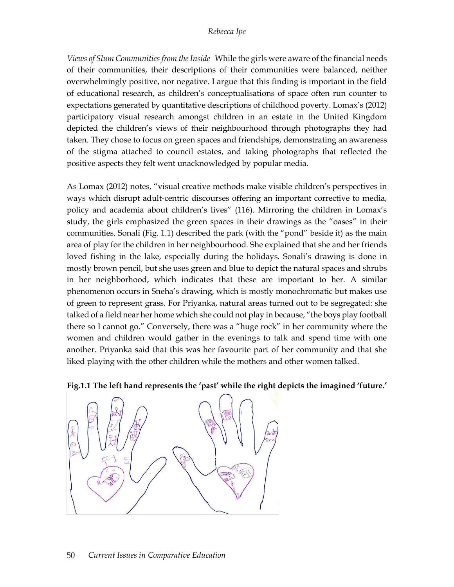*Views of Slum Communities from the Inside* While the girls were aware of the financial needs of their communities, their descriptions of their communities were balanced, neither overwhelmingly positive, nor negative. I argue that this finding is important in the field of educational research, as children's conceptualisations of space often run counter to expectations generated by quantitative descriptions of childhood poverty. Lomax's (2012) participatory visual research amongst children in an estate in the United Kingdom depicted the children's views of their neighbourhood through photographs they had taken. They chose to focus on green spaces and friendships, demonstrating an awareness of the stigma attached to council estates, and taking photographs that reflected the positive aspects they felt went unacknowledged by popular media.

As Lomax (2012) notes, "visual creative methods make visible children's perspectives in ways which disrupt adult-centric discourses offering an important corrective to media, policy and academia about children's lives" (116). Mirroring the children in Lomax's study, the girls emphasized the green spaces in their drawings as the "oases" in their communities. Sonali (Fig. 1.1) described the park (with the "pond" beside it) as the main area of play for the children in her neighbourhood. She explained that she and her friends loved fishing in the lake, especially during the holidays. Sonali's drawing is done in mostly brown pencil, but she uses green and blue to depict the natural spaces and shrubs in her neighborhood, which indicates that these are important to her. A similar phenomenon occurs in Sneha's drawing, which is mostly monochromatic but makes use of green to represent grass. For Priyanka, natural areas turned out to be segregated: she talked of a field near her home which she could not play in because, "the boys play football there so I cannot go." Conversely, there was a "huge rock" in her community where the women and children would gather in the evenings to talk and spend time with one another. Priyanka said that this was her favourite part of her community and that she liked playing with the other children while the mothers and other women talked.



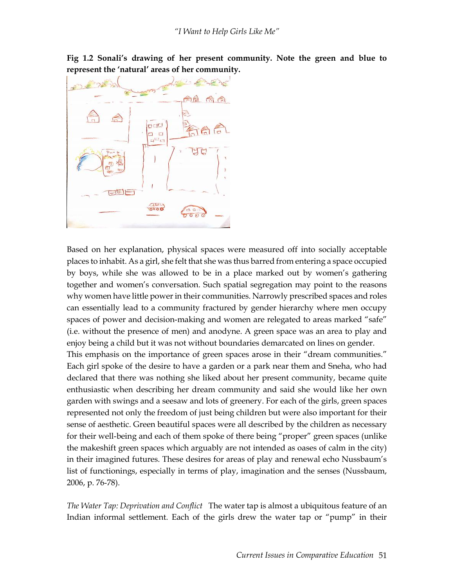**Fig 1.2 Sonali's drawing of her present community. Note the green and blue to represent the 'natural' areas of her community.** 



Based on her explanation, physical spaces were measured off into socially acceptable places to inhabit. As a girl, she felt that she was thus barred from entering a space occupied by boys, while she was allowed to be in a place marked out by women's gathering together and women's conversation. Such spatial segregation may point to the reasons why women have little power in their communities. Narrowly prescribed spaces and roles can essentially lead to a community fractured by gender hierarchy where men occupy spaces of power and decision-making and women are relegated to areas marked "safe" (i.e. without the presence of men) and anodyne. A green space was an area to play and enjoy being a child but it was not without boundaries demarcated on lines on gender.

This emphasis on the importance of green spaces arose in their "dream communities." Each girl spoke of the desire to have a garden or a park near them and Sneha, who had declared that there was nothing she liked about her present community, became quite enthusiastic when describing her dream community and said she would like her own garden with swings and a seesaw and lots of greenery. For each of the girls, green spaces represented not only the freedom of just being children but were also important for their sense of aesthetic. Green beautiful spaces were all described by the children as necessary for their well-being and each of them spoke of there being "proper" green spaces (unlike the makeshift green spaces which arguably are not intended as oases of calm in the city) in their imagined futures. These desires for areas of play and renewal echo Nussbaum's list of functionings, especially in terms of play, imagination and the senses (Nussbaum, 2006, p. 76-78).

*The Water Tap: Deprivation and Conflict* The water tap is almost a ubiquitous feature of an Indian informal settlement. Each of the girls drew the water tap or "pump" in their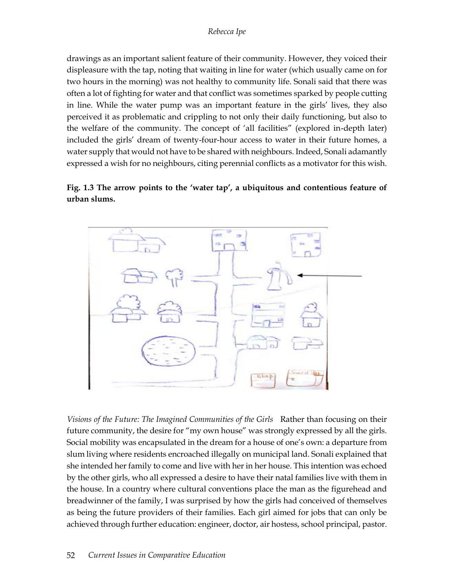drawings as an important salient feature of their community. However, they voiced their displeasure with the tap, noting that waiting in line for water (which usually came on for two hours in the morning) was not healthy to community life. Sonali said that there was often a lot of fighting for water and that conflict was sometimes sparked by people cutting in line. While the water pump was an important feature in the girls' lives, they also perceived it as problematic and crippling to not only their daily functioning, but also to the welfare of the community. The concept of 'all facilities" (explored in-depth later) included the girls' dream of twenty-four-hour access to water in their future homes, a water supply that would not have to be shared with neighbours. Indeed, Sonali adamantly expressed a wish for no neighbours, citing perennial conflicts as a motivator for this wish.

## **Fig. 1.3 The arrow points to the 'water tap', a ubiquitous and contentious feature of urban slums.**



*Visions of the Future: The Imagined Communities of the Girls* Rather than focusing on their future community, the desire for "my own house" was strongly expressed by all the girls. Social mobility was encapsulated in the dream for a house of one's own: a departure from slum living where residents encroached illegally on municipal land. Sonali explained that she intended her family to come and live with her in her house. This intention was echoed by the other girls, who all expressed a desire to have their natal families live with them in the house. In a country where cultural conventions place the man as the figurehead and breadwinner of the family, I was surprised by how the girls had conceived of themselves as being the future providers of their families. Each girl aimed for jobs that can only be achieved through further education: engineer, doctor, air hostess, school principal, pastor.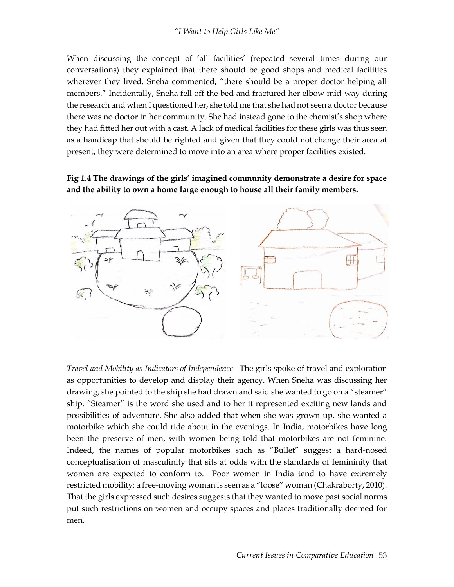When discussing the concept of 'all facilities' (repeated several times during our conversations) they explained that there should be good shops and medical facilities wherever they lived. Sneha commented, "there should be a proper doctor helping all members." Incidentally, Sneha fell off the bed and fractured her elbow mid-way during the research and when I questioned her, she told me that she had not seen a doctor because there was no doctor in her community. She had instead gone to the chemist's shop where they had fitted her out with a cast. A lack of medical facilities for these girls was thus seen as a handicap that should be righted and given that they could not change their area at present, they were determined to move into an area where proper facilities existed.

## **Fig 1.4 The drawings of the girls' imagined community demonstrate a desire for space and the ability to own a home large enough to house all their family members.**



*Travel and Mobility as Indicators of Independence* The girls spoke of travel and exploration as opportunities to develop and display their agency. When Sneha was discussing her drawing, she pointed to the ship she had drawn and said she wanted to go on a "steamer" ship. "Steamer" is the word she used and to her it represented exciting new lands and possibilities of adventure. She also added that when she was grown up, she wanted a motorbike which she could ride about in the evenings. In India, motorbikes have long been the preserve of men, with women being told that motorbikes are not feminine. Indeed, the names of popular motorbikes such as "Bullet" suggest a hard-nosed conceptualisation of masculinity that sits at odds with the standards of femininity that women are expected to conform to. Poor women in India tend to have extremely restricted mobility: a free-moving woman is seen as a "loose" woman (Chakraborty, 2010). That the girls expressed such desires suggests that they wanted to move past social norms put such restrictions on women and occupy spaces and places traditionally deemed for men.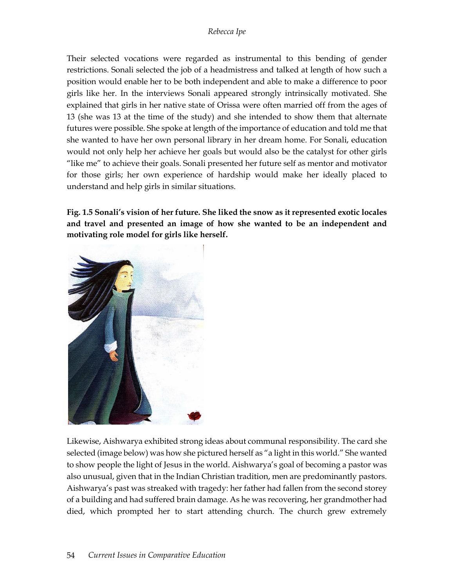Their selected vocations were regarded as instrumental to this bending of gender restrictions. Sonali selected the job of a headmistress and talked at length of how such a position would enable her to be both independent and able to make a difference to poor girls like her. In the interviews Sonali appeared strongly intrinsically motivated. She explained that girls in her native state of Orissa were often married off from the ages of 13 (she was 13 at the time of the study) and she intended to show them that alternate futures were possible. She spoke at length of the importance of education and told me that she wanted to have her own personal library in her dream home. For Sonali, education would not only help her achieve her goals but would also be the catalyst for other girls "like me" to achieve their goals. Sonali presented her future self as mentor and motivator for those girls; her own experience of hardship would make her ideally placed to understand and help girls in similar situations.

**Fig. 1.5 Sonali's vision of her future. She liked the snow as it represented exotic locales and travel and presented an image of how she wanted to be an independent and motivating role model for girls like herself.**



Likewise, Aishwarya exhibited strong ideas about communal responsibility. The card she selected (image below) was how she pictured herself as "a light in this world." She wanted to show people the light of Jesus in the world. Aishwarya's goal of becoming a pastor was also unusual, given that in the Indian Christian tradition, men are predominantly pastors. Aishwarya's past was streaked with tragedy: her father had fallen from the second storey of a building and had suffered brain damage. As he was recovering, her grandmother had died, which prompted her to start attending church. The church grew extremely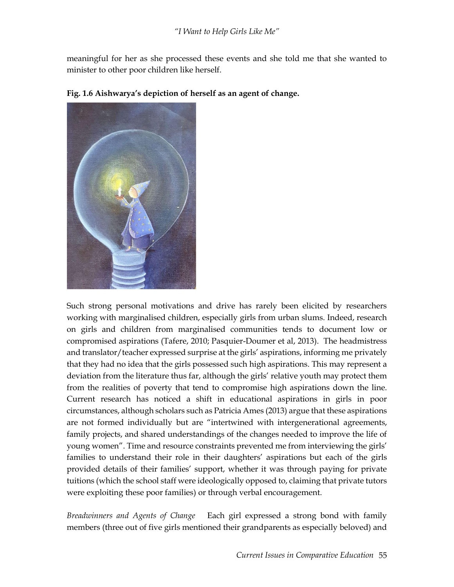meaningful for her as she processed these events and she told me that she wanted to minister to other poor children like herself.



## **Fig. 1.6 Aishwarya's depiction of herself as an agent of change.**

Such strong personal motivations and drive has rarely been elicited by researchers working with marginalised children, especially girls from urban slums. Indeed, research on girls and children from marginalised communities tends to document low or compromised aspirations (Tafere, 2010; Pasquier-Doumer et al, 2013). The headmistress and translator/teacher expressed surprise at the girls' aspirations, informing me privately that they had no idea that the girls possessed such high aspirations. This may represent a deviation from the literature thus far, although the girls' relative youth may protect them from the realities of poverty that tend to compromise high aspirations down the line. Current research has noticed a shift in educational aspirations in girls in poor circumstances, although scholars such as Patricia Ames (2013) argue that these aspirations are not formed individually but are "intertwined with intergenerational agreements, family projects, and shared understandings of the changes needed to improve the life of young women". Time and resource constraints prevented me from interviewing the girls' families to understand their role in their daughters' aspirations but each of the girls provided details of their families' support, whether it was through paying for private tuitions (which the school staff were ideologically opposed to, claiming that private tutors were exploiting these poor families) or through verbal encouragement.

*Breadwinners and Agents of Change* Each girl expressed a strong bond with family members (three out of five girls mentioned their grandparents as especially beloved) and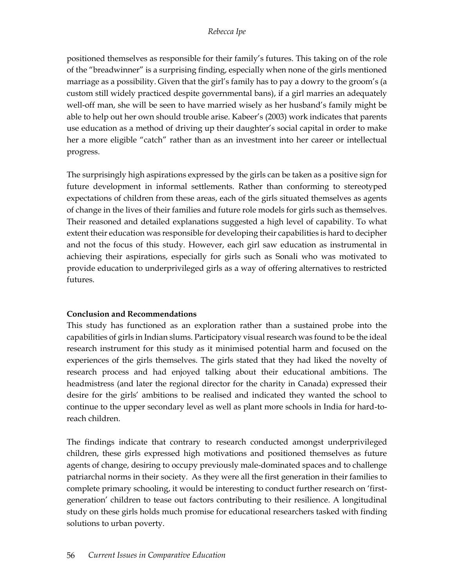positioned themselves as responsible for their family's futures. This taking on of the role of the "breadwinner" is a surprising finding, especially when none of the girls mentioned marriage as a possibility. Given that the girl's family has to pay a dowry to the groom's (a custom still widely practiced despite governmental bans), if a girl marries an adequately well-off man, she will be seen to have married wisely as her husband's family might be able to help out her own should trouble arise. Kabeer's (2003) work indicates that parents use education as a method of driving up their daughter's social capital in order to make her a more eligible "catch" rather than as an investment into her career or intellectual progress.

The surprisingly high aspirations expressed by the girls can be taken as a positive sign for future development in informal settlements. Rather than conforming to stereotyped expectations of children from these areas, each of the girls situated themselves as agents of change in the lives of their families and future role models for girls such as themselves. Their reasoned and detailed explanations suggested a high level of capability. To what extent their education was responsible for developing their capabilities is hard to decipher and not the focus of this study. However, each girl saw education as instrumental in achieving their aspirations, especially for girls such as Sonali who was motivated to provide education to underprivileged girls as a way of offering alternatives to restricted futures.

## **Conclusion and Recommendations**

This study has functioned as an exploration rather than a sustained probe into the capabilities of girls in Indian slums. Participatory visual research was found to be the ideal research instrument for this study as it minimised potential harm and focused on the experiences of the girls themselves. The girls stated that they had liked the novelty of research process and had enjoyed talking about their educational ambitions. The headmistress (and later the regional director for the charity in Canada) expressed their desire for the girls' ambitions to be realised and indicated they wanted the school to continue to the upper secondary level as well as plant more schools in India for hard-toreach children.

The findings indicate that contrary to research conducted amongst underprivileged children, these girls expressed high motivations and positioned themselves as future agents of change, desiring to occupy previously male-dominated spaces and to challenge patriarchal norms in their society. As they were all the first generation in their families to complete primary schooling, it would be interesting to conduct further research on 'firstgeneration' children to tease out factors contributing to their resilience. A longitudinal study on these girls holds much promise for educational researchers tasked with finding solutions to urban poverty.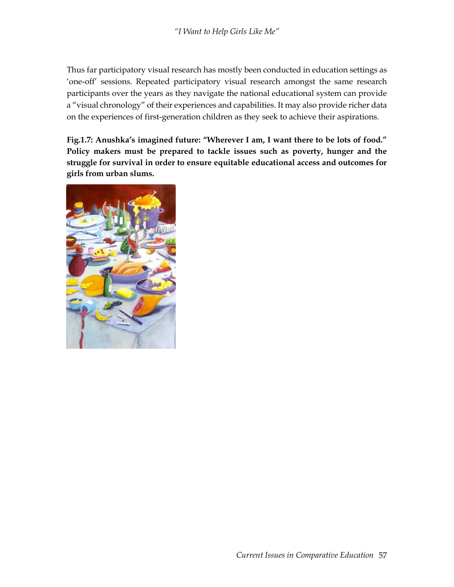Thus far participatory visual research has mostly been conducted in education settings as 'one-off' sessions. Repeated participatory visual research amongst the same research participants over the years as they navigate the national educational system can provide a "visual chronology" of their experiences and capabilities. It may also provide richer data on the experiences of first-generation children as they seek to achieve their aspirations.

**Fig.1.7: Anushka's imagined future: "Wherever I am, I want there to be lots of food." Policy makers must be prepared to tackle issues such as poverty, hunger and the struggle for survival in order to ensure equitable educational access and outcomes for girls from urban slums.**

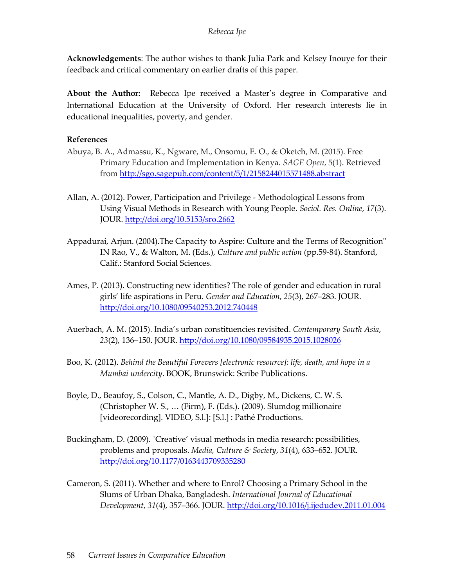**Acknowledgements**: The author wishes to thank Julia Park and Kelsey Inouye for their feedback and critical commentary on earlier drafts of this paper.

**About the Author:** Rebecca Ipe received a Master's degree in Comparative and International Education at the University of Oxford. Her research interests lie in educational inequalities, poverty, and gender.

### **References**

- Abuya, B. A., Admassu, K., Ngware, M., Onsomu, E. O., & Oketch, M. (2015). Free Primary Education and Implementation in Kenya. *SAGE Open*, 5(1). Retrieved from<http://sgo.sagepub.com/content/5/1/2158244015571488.abstract>
- Allan, A. (2012). Power, Participation and Privilege Methodological Lessons from Using Visual Methods in Research with Young People. *Sociol. Res. Online*, *17*(3). JOUR[. http://doi.org/10.5153/sro.2662](http://doi.org/10.5153/sro.2662)
- Appadurai, Arjun. (2004).The Capacity to Aspire: Culture and the Terms of Recognition" IN Rao, V., & Walton, M. (Eds.), *Culture and public action* (pp.59-84). Stanford, Calif.: Stanford Social Sciences.
- Ames, P. (2013). Constructing new identities? The role of gender and education in rural girls' life aspirations in Peru. *Gender and Education*, *25*(3), 267–283. JOUR. <http://doi.org/10.1080/09540253.2012.740448>
- Auerbach, A. M. (2015). India's urban constituencies revisited. *Contemporary South Asia*, *23*(2), 136–150. JOUR.<http://doi.org/10.1080/09584935.2015.1028026>
- Boo, K. (2012). *Behind the Beautiful Forevers [electronic resource]: life, death, and hope in a Mumbai undercity*. BOOK, Brunswick: Scribe Publications.
- Boyle, D., Beaufoy, S., Colson, C., Mantle, A. D., Digby, M., Dickens, C. W. S. (Christopher W. S., … (Firm), F. (Eds.). (2009). Slumdog millionaire [videorecording]. VIDEO, S.l.]: [S.l.] : Pathé Productions.
- Buckingham, D. (2009). `Creative' visual methods in media research: possibilities, problems and proposals. *Media, Culture & Society*, *31*(4), 633–652. JOUR. <http://doi.org/10.1177/0163443709335280>
- Cameron, S. (2011). Whether and where to Enrol? Choosing a Primary School in the Slums of Urban Dhaka, Bangladesh. *International Journal of Educational Development*, *31*(4), 357–366. JOUR.<http://doi.org/10.1016/j.ijedudev.2011.01.004>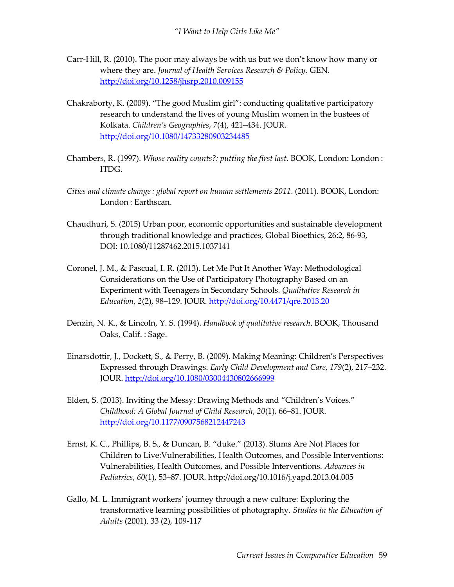- Carr-Hill, R. (2010). The poor may always be with us but we don't know how many or where they are. *Journal of Health Services Research & Policy*. GEN. <http://doi.org/10.1258/jhsrp.2010.009155>
- Chakraborty, K. (2009). "The good Muslim girl": conducting qualitative participatory research to understand the lives of young Muslim women in the bustees of Kolkata. *Children's Geographies*, *7*(4), 421–434. JOUR. <http://doi.org/10.1080/14733280903234485>
- Chambers, R. (1997). *Whose reality counts?: putting the first last*. BOOK, London: London : ITDG.
- *Cities and climate change : global report on human settlements 2011*. (2011). BOOK, London: London : Earthscan.
- Chaudhuri, S. (2015) Urban poor, economic opportunities and sustainable development through traditional knowledge and practices, Global Bioethics, 26:2, 86-93, DOI: 10.1080/11287462.2015.1037141
- Coronel, J. M., & Pascual, I. R. (2013). Let Me Put It Another Way: Methodological Considerations on the Use of Participatory Photography Based on an Experiment with Teenagers in Secondary Schools. *Qualitative Research in Education*, *2*(2), 98–129. JOUR.<http://doi.org/10.4471/qre.2013.20>
- Denzin, N. K., & Lincoln, Y. S. (1994). *Handbook of qualitative research*. BOOK, Thousand Oaks, Calif. : Sage.
- Einarsdottir, J., Dockett, S., & Perry, B. (2009). Making Meaning: Children's Perspectives Expressed through Drawings. *Early Child Development and Care*, *179*(2), 217–232. JOUR[. http://doi.org/10.1080/03004430802666999](http://doi.org/10.1080/03004430802666999)
- Elden, S. (2013). Inviting the Messy: Drawing Methods and "Children's Voices." *Childhood: A Global Journal of Child Research*, *20*(1), 66–81. JOUR. <http://doi.org/10.1177/0907568212447243>
- Ernst, K. C., Phillips, B. S., & Duncan, B. "duke." (2013). Slums Are Not Places for Children to Live:Vulnerabilities, Health Outcomes, and Possible Interventions: Vulnerabilities, Health Outcomes, and Possible Interventions. *Advances in Pediatrics*, *60*(1), 53–87. JOUR. http://doi.org/10.1016/j.yapd.2013.04.005
- Gallo, M. L. Immigrant workers' journey through a new culture: Exploring the transformative learning possibilities of photography*. Studies in the Education of Adults* (2001). 33 (2), 109-117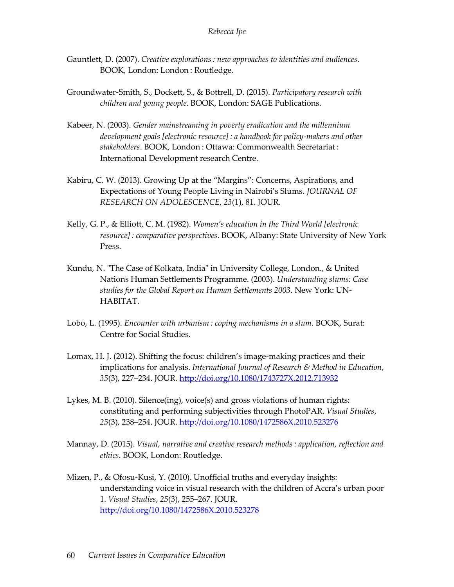- Gauntlett, D. (2007). *Creative explorations : new approaches to identities and audiences*. BOOK, London: London : Routledge.
- Groundwater-Smith, S., Dockett, S., & Bottrell, D. (2015). *Participatory research with children and young people*. BOOK, London: SAGE Publications.
- Kabeer, N. (2003). *Gender mainstreaming in poverty eradication and the millennium development goals [electronic resource] : a handbook for policy-makers and other stakeholders*. BOOK, London : Ottawa: Commonwealth Secretariat : International Development research Centre.
- Kabiru, C. W. (2013). Growing Up at the "Margins": Concerns, Aspirations, and Expectations of Young People Living in Nairobi's Slums. *JOURNAL OF RESEARCH ON ADOLESCENCE*, *23*(1), 81. JOUR.
- Kelly, G. P., & Elliott, C. M. (1982). *Women's education in the Third World [electronic resource] : comparative perspectives*. BOOK, Albany: State University of New York Press.
- Kundu, N. "The Case of Kolkata, India" in University College, London., & United Nations Human Settlements Programme. (2003). *Understanding slums: Case studies for the Global Report on Human Settlements 2003*. New York: UN-HABITAT.
- Lobo, L. (1995). *Encounter with urbanism : coping mechanisms in a slum*. BOOK, Surat: Centre for Social Studies.
- Lomax, H. J. (2012). Shifting the focus: children's image-making practices and their implications for analysis. *International Journal of Research & Method in Education*, *35*(3), 227–234. JOUR.<http://doi.org/10.1080/1743727X.2012.713932>
- Lykes, M. B. (2010). Silence(ing), voice(s) and gross violations of human rights: constituting and performing subjectivities through PhotoPAR. *Visual Studies*, *25*(3), 238–254. JOUR.<http://doi.org/10.1080/1472586X.2010.523276>
- Mannay, D. (2015). *Visual, narrative and creative research methods : application, reflection and ethics*. BOOK, London: Routledge.
- Mizen, P., & Ofosu-Kusi, Y. (2010). Unofficial truths and everyday insights: understanding voice in visual research with the children of Accra's urban poor 1. *Visual Studies*, *25*(3), 255–267. JOUR. <http://doi.org/10.1080/1472586X.2010.523278>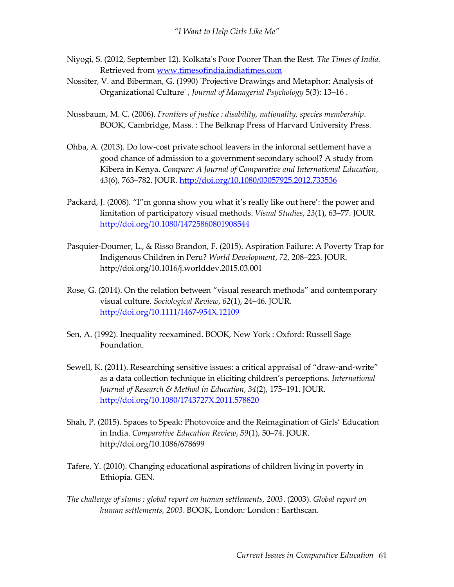- Niyogi, S. (2012, September 12). Kolkata's Poor Poorer Than the Rest. *The Times of India.* Retrieved from [www.timesofindia.indiatimes.com](http://www.timesofindia.indiatimes.com/)
- Nossiter, V. and Biberman, G. (1990) 'Projective Drawings and Metaphor: Analysis of Organizational Culture' , *Journal of Managerial Psychology* 5(3): 13–16 .
- Nussbaum, M. C. (2006). *Frontiers of justice : disability, nationality, species membership*. BOOK, Cambridge, Mass. : The Belknap Press of Harvard University Press.
- Ohba, A. (2013). Do low-cost private school leavers in the informal settlement have a good chance of admission to a government secondary school? A study from Kibera in Kenya. *Compare: A Journal of Comparative and International Education*, *43*(6), 763–782. JOUR.<http://doi.org/10.1080/03057925.2012.733536>
- Packard, J. (2008). "I"m gonna show you what it's really like out here': the power and limitation of participatory visual methods. *Visual Studies*, *23*(1), 63–77. JOUR. <http://doi.org/10.1080/14725860801908544>
- Pasquier-Doumer, L., & Risso Brandon, F. (2015). Aspiration Failure: A Poverty Trap for Indigenous Children in Peru? *World Development*, *72*, 208–223. JOUR. http://doi.org/10.1016/j.worlddev.2015.03.001
- Rose, G. (2014). On the relation between "visual research methods" and contemporary visual culture. *Sociological Review*, *62*(1), 24–46. JOUR. <http://doi.org/10.1111/1467-954X.12109>
- Sen, A. (1992). Inequality reexamined. BOOK, New York : Oxford: Russell Sage Foundation.
- Sewell, K. (2011). Researching sensitive issues: a critical appraisal of "draw-and-write" as a data collection technique in eliciting children's perceptions. *International Journal of Research & Method in Education*, *34*(2), 175–191. JOUR. <http://doi.org/10.1080/1743727X.2011.578820>
- Shah, P. (2015). Spaces to Speak: Photovoice and the Reimagination of Girls' Education in India. *Comparative Education Review*, *59*(1), 50–74. JOUR. http://doi.org/10.1086/678699
- Tafere, Y. (2010). Changing educational aspirations of children living in poverty in Ethiopia. GEN.
- *The challenge of slums : global report on human settlements, 2003*. (2003). *Global report on human settlements, 2003*. BOOK, London: London : Earthscan.